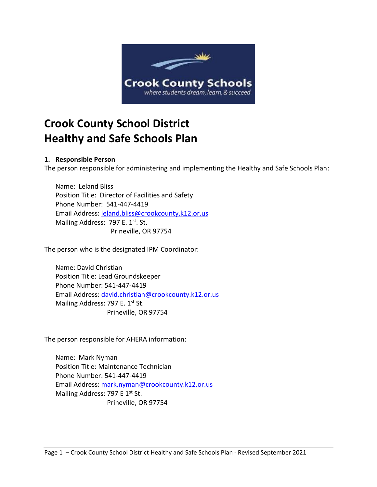

# **Crook County School District Healthy and Safe Schools Plan**

#### **1. Responsible Person**

The person responsible for administering and implementing the Healthy and Safe Schools Plan:

Name: Leland Bliss Position Title: Director of Facilities and Safety Phone Number: 541-447-4419 Email Address: [leland.bliss@crookcounty.k12.or.us](mailto:leland.bliss@crookcounty.k12.or.us) Mailing Address: 797 E. 1st. St. Prineville, OR 97754

The person who is the designated IPM Coordinator:

Name: David Christian Position Title: Lead Groundskeeper Phone Number: 541-447-4419 Email Address: [david.christian@crookcounty.k12.or.us](mailto:david.christian@crookcounty.k12.or.us) Mailing Address: 797 E. 1st St. Prineville, OR 97754

The person responsible for AHERA information:

Name: Mark Nyman Position Title: Maintenance Technician Phone Number: 541-447-4419 Email Address: [mark.nyman@crookcounty.k12.or.us](mailto:mark.nyman@crookcounty.k12.or.us) Mailing Address: 797 E 1<sup>st</sup> St. Prineville, OR 97754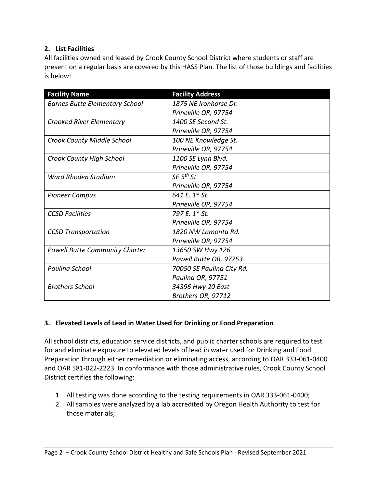## **2. List Facilities**

All facilities owned and leased by Crook County School District where students or staff are present on a regular basis are covered by this HASS Plan. The list of those buildings and facilities is below:

| <b>Facility Name</b>                  | <b>Facility Address</b>    |
|---------------------------------------|----------------------------|
| <b>Barnes Butte Elementary School</b> | 1875 NE Ironhorse Dr.      |
|                                       | Prineville OR, 97754       |
| <b>Crooked River Elementary</b>       | 1400 SE Second St.         |
|                                       | Prineville OR, 97754       |
| <b>Crook County Middle School</b>     | 100 NE Knowledge St.       |
|                                       | Prineville OR, 97754       |
| Crook County High School              | 1100 SE Lynn Blvd.         |
|                                       | Prineville OR, 97754       |
| <b>Ward Rhoden Stadium</b>            | $SE$ 5 <sup>th</sup> St.   |
|                                       | Prineville OR, 97754       |
| <b>Pioneer Campus</b>                 | 641 E. 1 <sup>st</sup> St. |
|                                       | Prineville OR, 97754       |
| <b>CCSD Facilities</b>                | 797 E. 1st St.             |
|                                       | Prineville OR, 97754       |
| <b>CCSD Transportation</b>            | 1820 NW Lamonta Rd.        |
|                                       | Prineville OR, 97754       |
| <b>Powell Butte Community Charter</b> | 13650 SW Hwy 126           |
|                                       | Powell Butte OR, 97753     |
| Paulina School                        | 70050 SE Paulina City Rd.  |
|                                       | Paulina OR, 97751          |
| <b>Brothers School</b>                | 34396 Hwy 20 East          |
|                                       | Brothers OR, 97712         |

# **3. Elevated Levels of Lead in Water Used for Drinking or Food Preparation**

All school districts, education service districts, and public charter schools are required to test for and eliminate exposure to elevated levels of lead in water used for Drinking and Food Preparation through either remediation or eliminating access, according to OAR 333-061-0400 and OAR 581-022-2223. In conformance with those administrative rules, Crook County School District certifies the following:

- 1. All testing was done according to the testing requirements in OAR 333-061-0400;
- 2. All samples were analyzed by a lab accredited by Oregon Health Authority to test for those materials;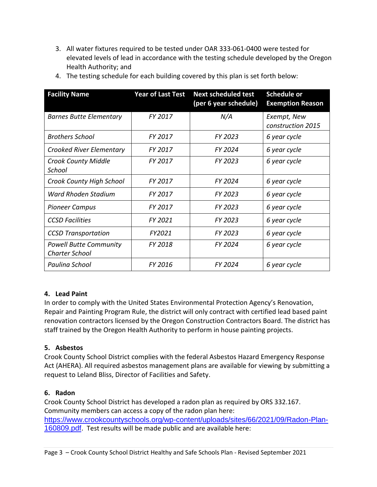3. All water fixtures required to be tested under OAR 333-061-0400 were tested for elevated levels of lead in accordance with the testing schedule developed by the Oregon Health Authority; and

| <b>Facility Name</b>                                   | <b>Year of Last Test</b> | <b>Next scheduled test</b><br>(per 6 year schedule) | Schedule or<br><b>Exemption Reason</b> |
|--------------------------------------------------------|--------------------------|-----------------------------------------------------|----------------------------------------|
| <b>Barnes Butte Elementary</b>                         | FY 2017                  | N/A                                                 | Exempt, New<br>construction 2015       |
| <b>Brothers School</b>                                 | FY 2017                  | FY 2023                                             | 6 year cycle                           |
| <b>Crooked River Elementary</b>                        | FY 2017                  | FY 2024                                             | 6 year cycle                           |
| <b>Crook County Middle</b><br>School                   | FY 2017                  | FY 2023                                             | 6 year cycle                           |
| Crook County High School                               | FY 2017                  | FY 2024                                             | 6 year cycle                           |
| Ward Rhoden Stadium                                    | FY 2017                  | FY 2023                                             | 6 year cycle                           |
| <b>Pioneer Campus</b>                                  | FY 2017                  | FY 2023                                             | 6 year cycle                           |
| <b>CCSD Facilities</b>                                 | FY 2021                  | FY 2023                                             | 6 year cycle                           |
| <b>CCSD Transportation</b>                             | FY2021                   | FY 2023                                             | 6 year cycle                           |
| <b>Powell Butte Community</b><br><b>Charter School</b> | FY 2018                  | <b>FY 2024</b>                                      | 6 year cycle                           |
| Paulina School                                         | FY 2016                  | FY 2024                                             | 6 year cycle                           |

4. The testing schedule for each building covered by this plan is set forth below:

# **4. Lead Paint**

In order to comply with the United States Environmental Protection Agency's Renovation, Repair and Painting Program Rule, the district will only contract with certified lead based paint renovation contractors licensed by the Oregon Construction Contractors Board. The district has staff trained by the Oregon Health Authority to perform in house painting projects.

#### **5. Asbestos**

Crook County School District complies with the federal Asbestos Hazard Emergency Response Act (AHERA). All required asbestos management plans are available for viewing by submitting a request to Leland Bliss, Director of Facilities and Safety.

#### **6. Radon**

Crook County School District has developed a radon plan as required by ORS 332.167. Community members can access a copy of the radon plan here: [https://www.crookcountyschools.org/wp-content/uploads/sites/66/2021/09/Radon-Plan-](https://www.crookcountyschools.org/wp-content/uploads/sites/66/2021/09/Radon-Plan-160809.pdf)[160809.pdf.](https://www.crookcountyschools.org/wp-content/uploads/sites/66/2021/09/Radon-Plan-160809.pdf) Test results will be made public and are available here: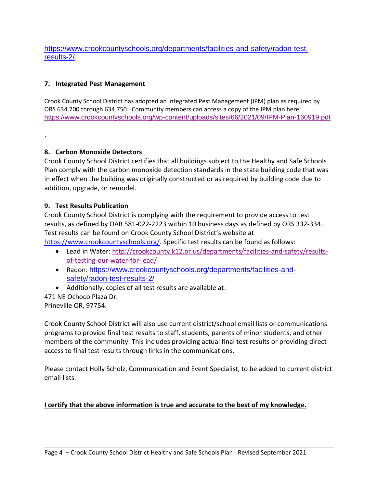[https://www.crookcountyschools.org/departments/facilities-and-safety/radon-test](https://www.crookcountyschools.org/departments/facilities-and-safety/radon-test-results-2/)[results-2/.](https://www.crookcountyschools.org/departments/facilities-and-safety/radon-test-results-2/)

# **7. Integrated Pest Management**

Crook County School District has adopted an Integrated Pest Management (IPM) plan as required by ORS 634.700 through 634.750. Community members can access a copy of the IPM plan here: <https://www.crookcountyschools.org/wp-content/uploads/sites/66/2021/09/IPM-Plan-160919.pdf>

#### **8. Carbon Monoxide Detectors**

.

Crook County School District certifies that all buildings subject to the Healthy and Safe Schools Plan comply with the carbon monoxide detection standards in the state building code that was in effect when the building was originally constructed or as required by building code due to addition, upgrade, or remodel.

## **9. Test Results Publication**

Crook County School District is complying with the requirement to provide access to test results, as defined by OAR 581-022-2223 within 10 business days as defined by ORS 332-334. Test results can be found on Crook County School District's website at

[https://www.crookcountyschools.org/.](https://www.crookcountyschools.org/) Specific test results can be found as follows:

- Lead in Water: [http://crookcounty.k12.or.us/departments/facilities-and-safety/results](http://crookcounty.k12.or.us/departments/facilities-and-safety/results-of-testing-our-water-for-lead/)[of-testing-our-water-for-lead/](http://crookcounty.k12.or.us/departments/facilities-and-safety/results-of-testing-our-water-for-lead/)
- Radon: [https://www.crookcountyschools.org/departments/facilities-and](https://www.crookcountyschools.org/departments/facilities-and-safety/radon-test-results-2/)[safety/radon-test-results-2/](https://www.crookcountyschools.org/departments/facilities-and-safety/radon-test-results-2/)
- Additionally, copies of all test results are available at:

471 NE Ochoco Plaza Dr. Prineville OR, 97754.

Crook County School District will also use current district/school email lists or communications programs to provide final test results to staff, students, parents of minor students, and other members of the community. This includes providing actual final test results or providing direct access to final test results through links in the communications.

Please contact Holly Scholz, Communication and Event Specialist, to be added to current district email lists.

#### **I certify that the above information is true and accurate to the best of my knowledge.**